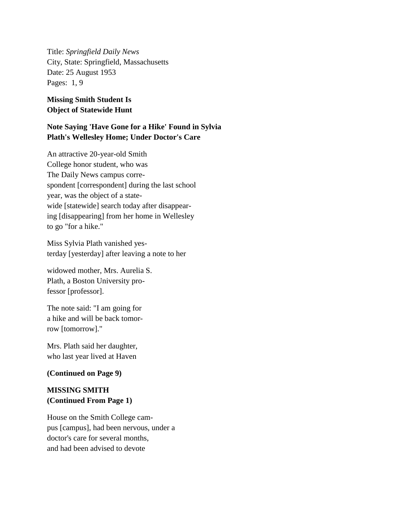Title: *Springfield Daily News* City, State: Springfield, Massachusetts Date: 25 August 1953 Pages: 1, 9

## **Missing Smith Student Is Object of Statewide Hunt**

## **Note Saying 'Have Gone for a Hike' Found in Sylvia Plath's Wellesley Home; Under Doctor's Care**

An attractive 20-year-old Smith College honor student, who was The Daily News campus correspondent [correspondent] during the last school year, was the object of a statewide [statewide] search today after disappearing [disappearing] from her home in Wellesley to go "for a hike."

Miss Sylvia Plath vanished yesterday [yesterday] after leaving a note to her

widowed mother, Mrs. Aurelia S. Plath, a Boston University professor [professor].

The note said: "I am going for a hike and will be back tomorrow [tomorrow]."

Mrs. Plath said her daughter, who last year lived at Haven

## **(Continued on Page 9)**

## **MISSING SMITH (Continued From Page 1)**

House on the Smith College campus [campus], had been nervous, under a doctor's care for several months, and had been advised to devote